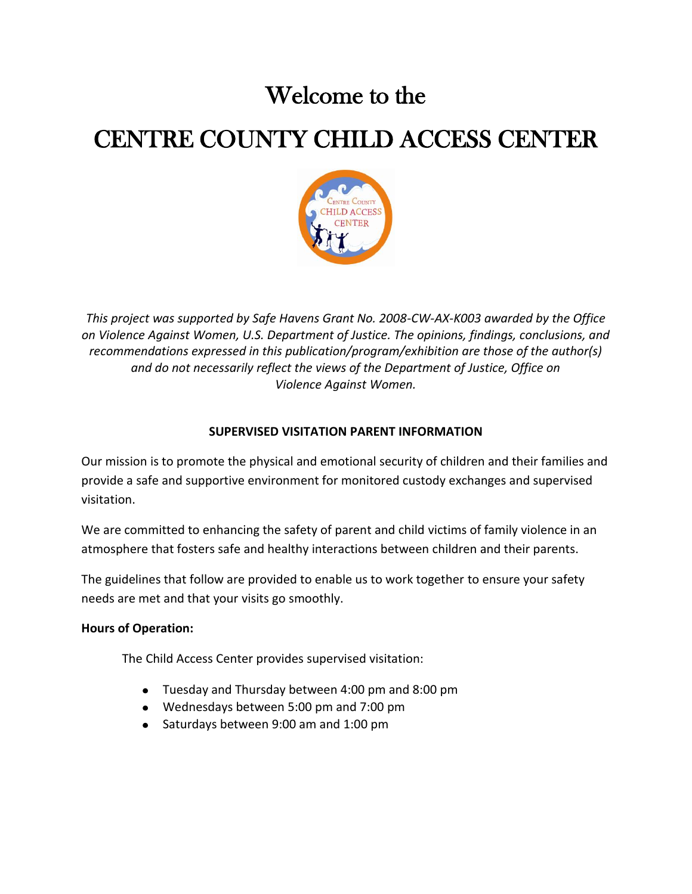# Welcome to the

# CENTRE COUNTY CHILD ACCESS CENTER



*This project was supported by Safe Havens Grant No. 2008-CW-AX-K003 awarded by the Office on Violence Against Women, U.S. Department of Justice. The opinions, findings, conclusions, and recommendations expressed in this publication/program/exhibition are those of the author(s) and do not necessarily reflect the views of the Department of Justice, Office on Violence Against Women.*

# **SUPERVISED VISITATION PARENT INFORMATION**

Our mission is to promote the physical and emotional security of children and their families and provide a safe and supportive environment for monitored custody exchanges and supervised visitation.

We are committed to enhancing the safety of parent and child victims of family violence in an atmosphere that fosters safe and healthy interactions between children and their parents.

The guidelines that follow are provided to enable us to work together to ensure your safety needs are met and that your visits go smoothly.

# **Hours of Operation:**

The Child Access Center provides supervised visitation:

- Tuesday and Thursday between 4:00 pm and 8:00 pm
- Wednesdays between 5:00 pm and 7:00 pm
- Saturdays between 9:00 am and 1:00 pm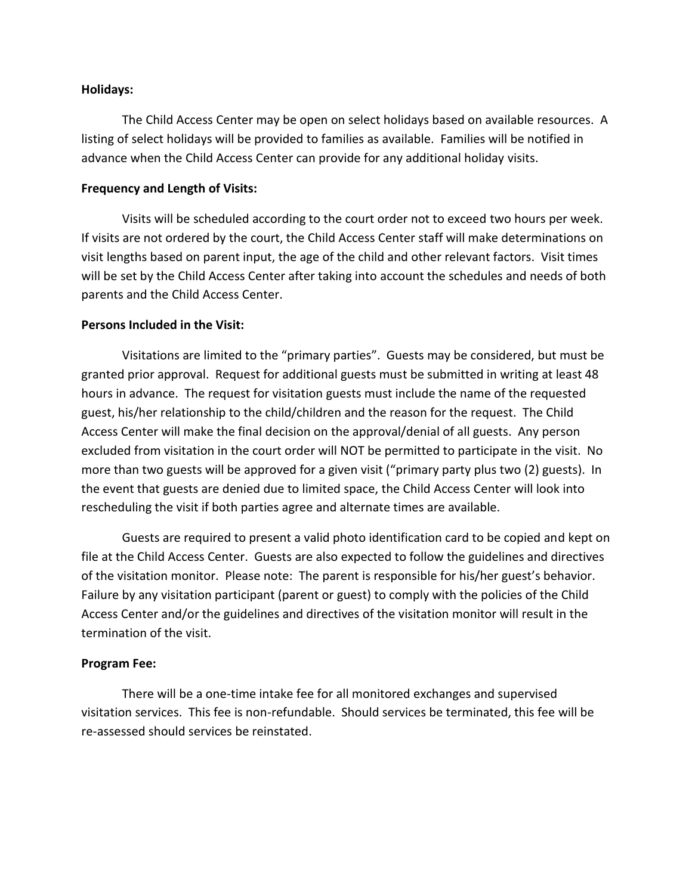#### **Holidays:**

The Child Access Center may be open on select holidays based on available resources. A listing of select holidays will be provided to families as available. Families will be notified in advance when the Child Access Center can provide for any additional holiday visits.

#### **Frequency and Length of Visits:**

Visits will be scheduled according to the court order not to exceed two hours per week. If visits are not ordered by the court, the Child Access Center staff will make determinations on visit lengths based on parent input, the age of the child and other relevant factors. Visit times will be set by the Child Access Center after taking into account the schedules and needs of both parents and the Child Access Center.

#### **Persons Included in the Visit:**

Visitations are limited to the "primary parties". Guests may be considered, but must be granted prior approval. Request for additional guests must be submitted in writing at least 48 hours in advance. The request for visitation guests must include the name of the requested guest, his/her relationship to the child/children and the reason for the request. The Child Access Center will make the final decision on the approval/denial of all guests. Any person excluded from visitation in the court order will NOT be permitted to participate in the visit. No more than two guests will be approved for a given visit ("primary party plus two (2) guests). In the event that guests are denied due to limited space, the Child Access Center will look into rescheduling the visit if both parties agree and alternate times are available.

Guests are required to present a valid photo identification card to be copied and kept on file at the Child Access Center. Guests are also expected to follow the guidelines and directives of the visitation monitor. Please note: The parent is responsible for his/her guest's behavior. Failure by any visitation participant (parent or guest) to comply with the policies of the Child Access Center and/or the guidelines and directives of the visitation monitor will result in the termination of the visit.

## **Program Fee:**

There will be a one-time intake fee for all monitored exchanges and supervised visitation services. This fee is non-refundable. Should services be terminated, this fee will be re-assessed should services be reinstated.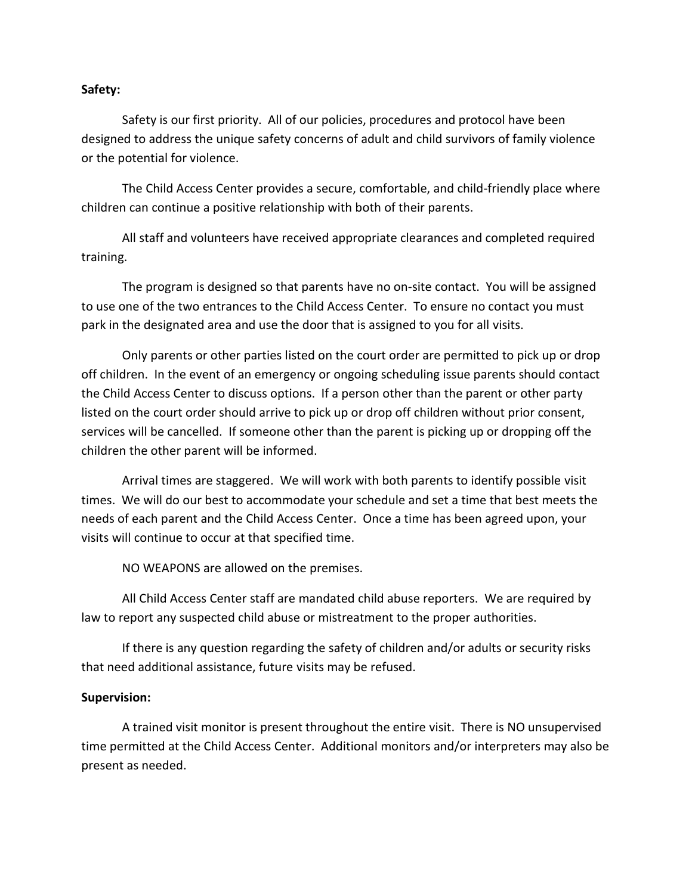#### **Safety:**

Safety is our first priority. All of our policies, procedures and protocol have been designed to address the unique safety concerns of adult and child survivors of family violence or the potential for violence.

The Child Access Center provides a secure, comfortable, and child-friendly place where children can continue a positive relationship with both of their parents.

All staff and volunteers have received appropriate clearances and completed required training.

The program is designed so that parents have no on-site contact. You will be assigned to use one of the two entrances to the Child Access Center. To ensure no contact you must park in the designated area and use the door that is assigned to you for all visits.

Only parents or other parties listed on the court order are permitted to pick up or drop off children. In the event of an emergency or ongoing scheduling issue parents should contact the Child Access Center to discuss options. If a person other than the parent or other party listed on the court order should arrive to pick up or drop off children without prior consent, services will be cancelled. If someone other than the parent is picking up or dropping off the children the other parent will be informed.

Arrival times are staggered. We will work with both parents to identify possible visit times. We will do our best to accommodate your schedule and set a time that best meets the needs of each parent and the Child Access Center. Once a time has been agreed upon, your visits will continue to occur at that specified time.

NO WEAPONS are allowed on the premises.

All Child Access Center staff are mandated child abuse reporters. We are required by law to report any suspected child abuse or mistreatment to the proper authorities.

If there is any question regarding the safety of children and/or adults or security risks that need additional assistance, future visits may be refused.

#### **Supervision:**

A trained visit monitor is present throughout the entire visit. There is NO unsupervised time permitted at the Child Access Center. Additional monitors and/or interpreters may also be present as needed.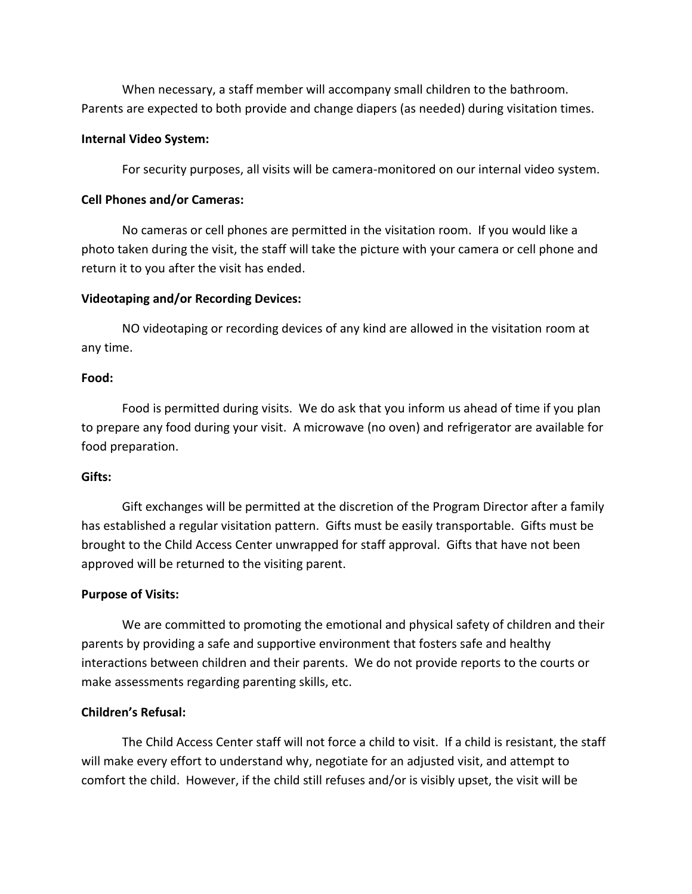When necessary, a staff member will accompany small children to the bathroom. Parents are expected to both provide and change diapers (as needed) during visitation times.

#### **Internal Video System:**

For security purposes, all visits will be camera-monitored on our internal video system.

## **Cell Phones and/or Cameras:**

No cameras or cell phones are permitted in the visitation room. If you would like a photo taken during the visit, the staff will take the picture with your camera or cell phone and return it to you after the visit has ended.

# **Videotaping and/or Recording Devices:**

NO videotaping or recording devices of any kind are allowed in the visitation room at any time.

## **Food:**

Food is permitted during visits. We do ask that you inform us ahead of time if you plan to prepare any food during your visit. A microwave (no oven) and refrigerator are available for food preparation.

## **Gifts:**

Gift exchanges will be permitted at the discretion of the Program Director after a family has established a regular visitation pattern. Gifts must be easily transportable. Gifts must be brought to the Child Access Center unwrapped for staff approval. Gifts that have not been approved will be returned to the visiting parent.

# **Purpose of Visits:**

We are committed to promoting the emotional and physical safety of children and their parents by providing a safe and supportive environment that fosters safe and healthy interactions between children and their parents. We do not provide reports to the courts or make assessments regarding parenting skills, etc.

## **Children's Refusal:**

The Child Access Center staff will not force a child to visit. If a child is resistant, the staff will make every effort to understand why, negotiate for an adjusted visit, and attempt to comfort the child. However, if the child still refuses and/or is visibly upset, the visit will be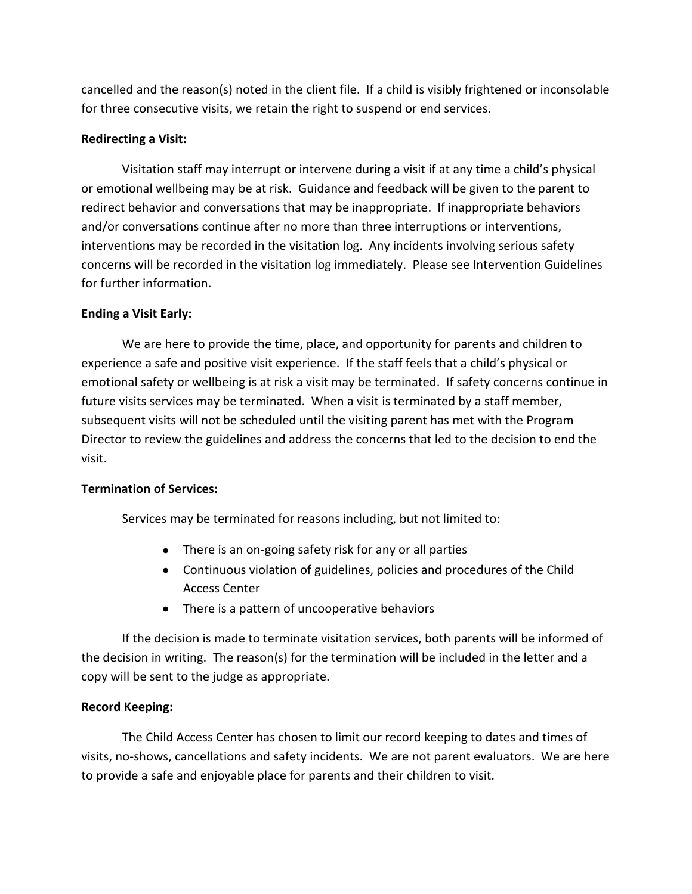cancelled and the reason(s) noted in the client file. If a child is visibly frightened or inconsolable for three consecutive visits, we retain the right to suspend or end services.

# **Redirecting a Visit:**

Visitation staff may interrupt or intervene during a visit if at any time a child's physical or emotional wellbeing may be at risk. Guidance and feedback will be given to the parent to redirect behavior and conversations that may be inappropriate. If inappropriate behaviors and/or conversations continue after no more than three interruptions or interventions, interventions may be recorded in the visitation log. Any incidents involving serious safety concerns will be recorded in the visitation log immediately. Please see Intervention Guidelines for further information.

# **Ending a Visit Early:**

We are here to provide the time, place, and opportunity for parents and children to experience a safe and positive visit experience. If the staff feels that a child's physical or emotional safety or wellbeing is at risk a visit may be terminated. If safety concerns continue in future visits services may be terminated. When a visit is terminated by a staff member, subsequent visits will not be scheduled until the visiting parent has met with the Program Director to review the guidelines and address the concerns that led to the decision to end the visit.

# **Termination of Services:**

Services may be terminated for reasons including, but not limited to:

- There is an on-going safety risk for any or all parties
- Continuous violation of guidelines, policies and procedures of the Child Access Center
- There is a pattern of uncooperative behaviors

If the decision is made to terminate visitation services, both parents will be informed of the decision in writing. The reason(s) for the termination will be included in the letter and a copy will be sent to the judge as appropriate.

# **Record Keeping:**

The Child Access Center has chosen to limit our record keeping to dates and times of visits, no-shows, cancellations and safety incidents. We are not parent evaluators. We are here to provide a safe and enjoyable place for parents and their children to visit.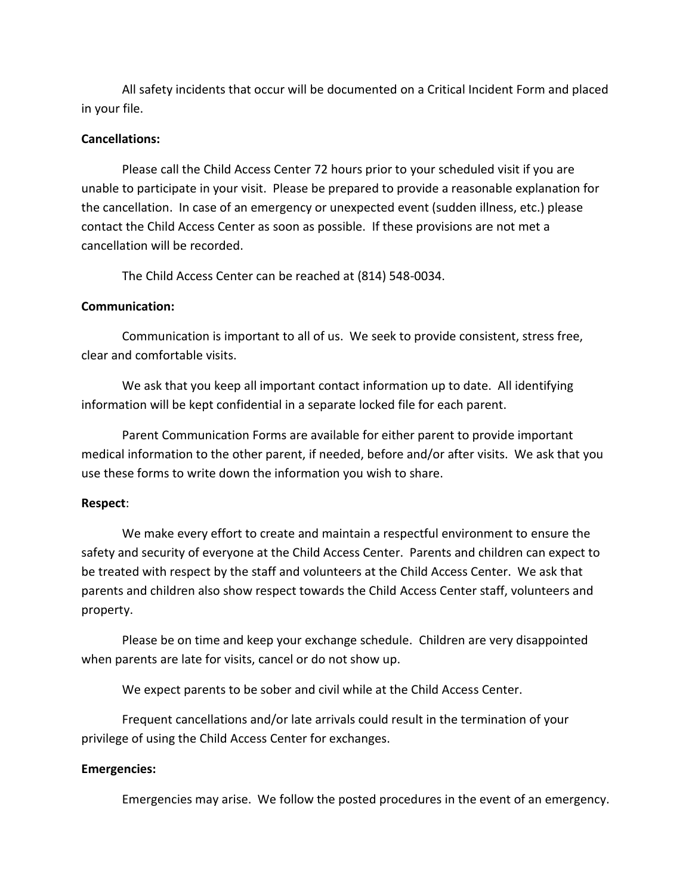All safety incidents that occur will be documented on a Critical Incident Form and placed in your file.

#### **Cancellations:**

Please call the Child Access Center 72 hours prior to your scheduled visit if you are unable to participate in your visit. Please be prepared to provide a reasonable explanation for the cancellation. In case of an emergency or unexpected event (sudden illness, etc.) please contact the Child Access Center as soon as possible. If these provisions are not met a cancellation will be recorded.

The Child Access Center can be reached at (814) 548-0034.

#### **Communication:**

Communication is important to all of us. We seek to provide consistent, stress free, clear and comfortable visits.

We ask that you keep all important contact information up to date. All identifying information will be kept confidential in a separate locked file for each parent.

Parent Communication Forms are available for either parent to provide important medical information to the other parent, if needed, before and/or after visits. We ask that you use these forms to write down the information you wish to share.

#### **Respect**:

We make every effort to create and maintain a respectful environment to ensure the safety and security of everyone at the Child Access Center. Parents and children can expect to be treated with respect by the staff and volunteers at the Child Access Center. We ask that parents and children also show respect towards the Child Access Center staff, volunteers and property.

Please be on time and keep your exchange schedule. Children are very disappointed when parents are late for visits, cancel or do not show up.

We expect parents to be sober and civil while at the Child Access Center.

Frequent cancellations and/or late arrivals could result in the termination of your privilege of using the Child Access Center for exchanges.

#### **Emergencies:**

Emergencies may arise. We follow the posted procedures in the event of an emergency.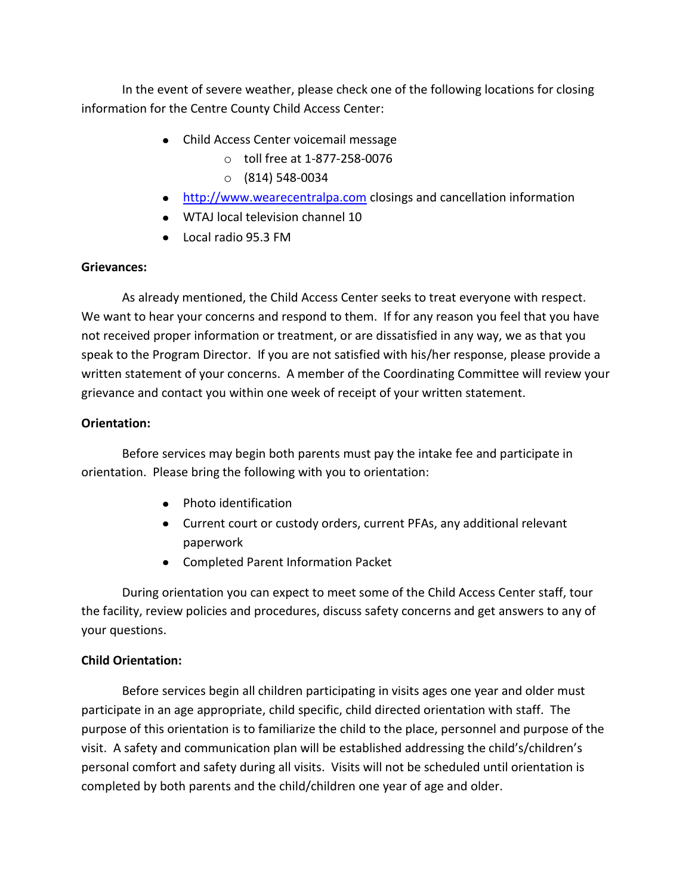In the event of severe weather, please check one of the following locations for closing information for the Centre County Child Access Center:

- Child Access Center voicemail message
	- o toll free at 1-877-258-0076
	- $\circ$  (814) 548-0034
- [http://www.wearecentralpa.com](http://www.wearecentralpa.com/) closings and cancellation information
- WTAJ local television channel 10
- Local radio 95.3 FM

# **Grievances:**

As already mentioned, the Child Access Center seeks to treat everyone with respect. We want to hear your concerns and respond to them. If for any reason you feel that you have not received proper information or treatment, or are dissatisfied in any way, we as that you speak to the Program Director. If you are not satisfied with his/her response, please provide a written statement of your concerns. A member of the Coordinating Committee will review your grievance and contact you within one week of receipt of your written statement.

# **Orientation:**

Before services may begin both parents must pay the intake fee and participate in orientation. Please bring the following with you to orientation:

- Photo identification
- Current court or custody orders, current PFAs, any additional relevant paperwork
- Completed Parent Information Packet

During orientation you can expect to meet some of the Child Access Center staff, tour the facility, review policies and procedures, discuss safety concerns and get answers to any of your questions.

# **Child Orientation:**

Before services begin all children participating in visits ages one year and older must participate in an age appropriate, child specific, child directed orientation with staff. The purpose of this orientation is to familiarize the child to the place, personnel and purpose of the visit. A safety and communication plan will be established addressing the child's/children's personal comfort and safety during all visits. Visits will not be scheduled until orientation is completed by both parents and the child/children one year of age and older.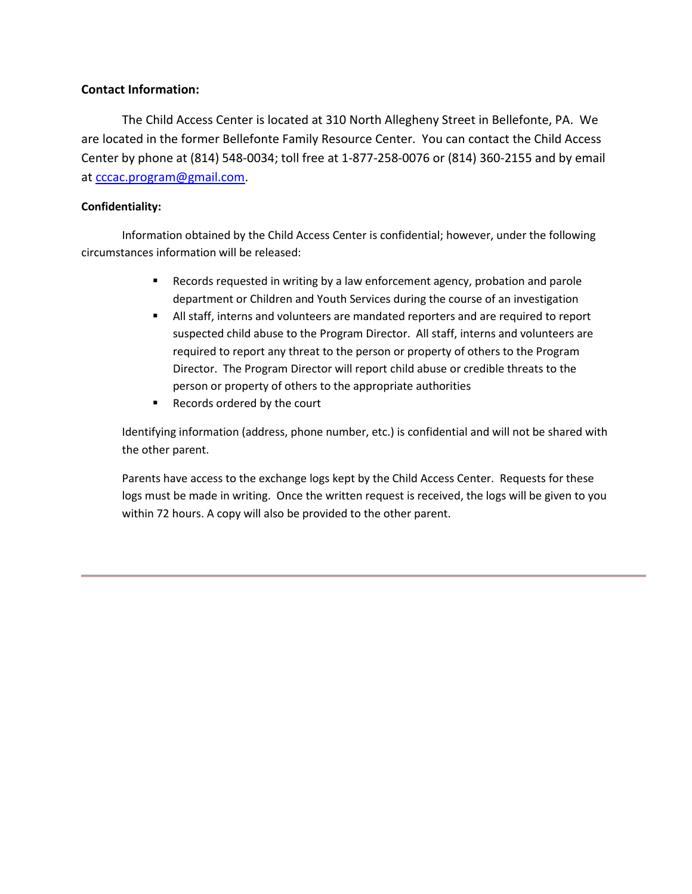## **Contact Information:**

The Child Access Center is located at 310 North Allegheny Street in Bellefonte, PA. We are located in the former Bellefonte Family Resource Center. You can contact the Child Access Center by phone at (814) 548-0034; toll free at 1-877-258-0076 or (814) 360-2155 and by email at [cccac.program@gmail.com.](mailto:cccac.program@gmail.com)

## **Confidentiality:**

Information obtained by the Child Access Center is confidential; however, under the following circumstances information will be released:

- Records requested in writing by a law enforcement agency, probation and parole department or Children and Youth Services during the course of an investigation
- All staff, interns and volunteers are mandated reporters and are required to report suspected child abuse to the Program Director. All staff, interns and volunteers are required to report any threat to the person or property of others to the Program Director. The Program Director will report child abuse or credible threats to the person or property of others to the appropriate authorities
- Records ordered by the court

Identifying information (address, phone number, etc.) is confidential and will not be shared with the other parent.

Parents have access to the exchange logs kept by the Child Access Center. Requests for these logs must be made in writing. Once the written request is received, the logs will be given to you within 72 hours. A copy will also be provided to the other parent.